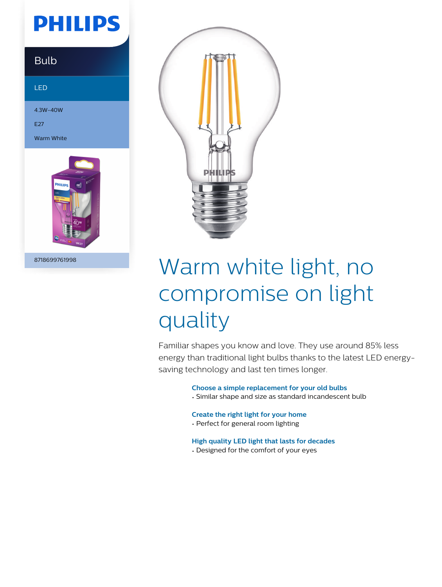## **PHILIPS**

### Bulb

LED

4.3W-40W

E27

Warm White



8718699761998



# Warm white light, no compromise on light quality

Familiar shapes you know and love. They use around 85% less energy than traditional light bulbs thanks to the latest LED energysaving technology and last ten times longer.

#### **Choose a simple replacement for your old bulbs**

• Similar shape and size as standard incandescent bulb

#### **Create the right light for your home**

- Perfect for general room lighting
- **High quality LED light that lasts for decades**
- Designed for the comfort of your eyes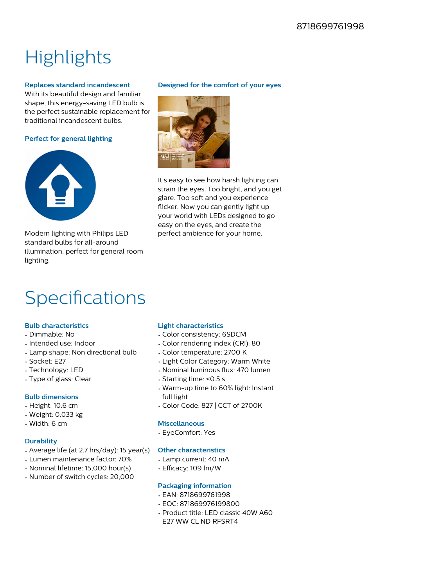## **Highlights**

#### **Replaces standard incandescent**

With its beautiful design and familiar shape, this energy-saving LED bulb is the perfect sustainable replacement for traditional incandescent bulbs.

#### **Perfect for general lighting**



Modern lighting with Philips LED standard bulbs for all-around illumination, perfect for general room lighting.

#### **Designed for the comfort of your eyes**



It's easy to see how harsh lighting can strain the eyes. Too bright, and you get glare. Too soft and you experience flicker. Now you can gently light up your world with LEDs designed to go easy on the eyes, and create the perfect ambience for your home.

### Specifications

#### **Bulb characteristics**

- Dimmable: No
- Intended use: Indoor
- Lamp shape: Non directional bulb
- Socket: E27
- Technology: LED
- Type of glass: Clear

#### **Bulb dimensions**

- Height: 10.6 cm
- Weight: 0.033 kg
- Width: 6 cm

#### **Durability**

- Average life (at 2.7 hrs/day): 15 year(s)
- Lumen maintenance factor: 70%
- Nominal lifetime: 15,000 hour(s)
- Number of switch cycles: 20,000

#### **Light characteristics**

- Color consistency: 6SDCM
- Color rendering index (CRI): 80
- Color temperature: 2700 K
- Light Color Category: Warm White
- Nominal luminous flux: 470 lumen
- Starting time: <0.5 s
- Warm-up time to 60% light: Instant full light
- Color Code: 827 | CCT of 2700K

#### **Miscellaneous**

• EyeComfort: Yes

#### **Other characteristics**

- Lamp current: 40 mA
- Efficacy: 109 lm/W

#### **Packaging information**

- EAN: 8718699761998
- EOC: 871869976199800
- Product title: LED classic 40W A60 E27 WW CL ND RFSRT4